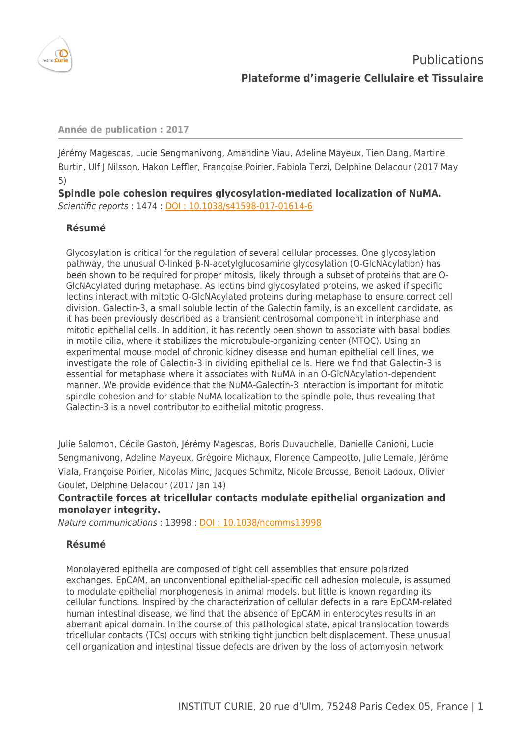

#### **Année de publication : 2017**

Jérémy Magescas, Lucie Sengmanivong, Amandine Viau, Adeline Mayeux, Tien Dang, Martine Burtin, Ulf J Nilsson, Hakon Leffler, Françoise Poirier, Fabiola Terzi, Delphine Delacour (2017 May 5)

**Spindle pole cohesion requires glycosylation-mediated localization of NuMA.** Scientific reports : 1474 : [DOI : 10.1038/s41598-017-01614-6](http://dx.doi.org/10.1038/s41598-017-01614-6)

#### **Résumé**

Glycosylation is critical for the regulation of several cellular processes. One glycosylation pathway, the unusual O-linked β-N-acetylglucosamine glycosylation (O-GlcNAcylation) has been shown to be required for proper mitosis, likely through a subset of proteins that are O-GlcNAcylated during metaphase. As lectins bind glycosylated proteins, we asked if specific lectins interact with mitotic O-GlcNAcylated proteins during metaphase to ensure correct cell division. Galectin-3, a small soluble lectin of the Galectin family, is an excellent candidate, as it has been previously described as a transient centrosomal component in interphase and mitotic epithelial cells. In addition, it has recently been shown to associate with basal bodies in motile cilia, where it stabilizes the microtubule-organizing center (MTOC). Using an experimental mouse model of chronic kidney disease and human epithelial cell lines, we investigate the role of Galectin-3 in dividing epithelial cells. Here we find that Galectin-3 is essential for metaphase where it associates with NuMA in an O-GlcNAcylation-dependent manner. We provide evidence that the NuMA-Galectin-3 interaction is important for mitotic spindle cohesion and for stable NuMA localization to the spindle pole, thus revealing that Galectin-3 is a novel contributor to epithelial mitotic progress.

Julie Salomon, Cécile Gaston, Jérémy Magescas, Boris Duvauchelle, Danielle Canioni, Lucie Sengmanivong, Adeline Mayeux, Grégoire Michaux, Florence Campeotto, Julie Lemale, Jérôme Viala, Françoise Poirier, Nicolas Minc, Jacques Schmitz, Nicole Brousse, Benoit Ladoux, Olivier Goulet, Delphine Delacour (2017 Jan 14)

# **Contractile forces at tricellular contacts modulate epithelial organization and monolayer integrity.**

Nature communications : 13998 : [DOI : 10.1038/ncomms13998](http://dx.doi.org/10.1038/ncomms13998)

## **Résumé**

Monolayered epithelia are composed of tight cell assemblies that ensure polarized exchanges. EpCAM, an unconventional epithelial-specific cell adhesion molecule, is assumed to modulate epithelial morphogenesis in animal models, but little is known regarding its cellular functions. Inspired by the characterization of cellular defects in a rare EpCAM-related human intestinal disease, we find that the absence of EpCAM in enterocytes results in an aberrant apical domain. In the course of this pathological state, apical translocation towards tricellular contacts (TCs) occurs with striking tight junction belt displacement. These unusual cell organization and intestinal tissue defects are driven by the loss of actomyosin network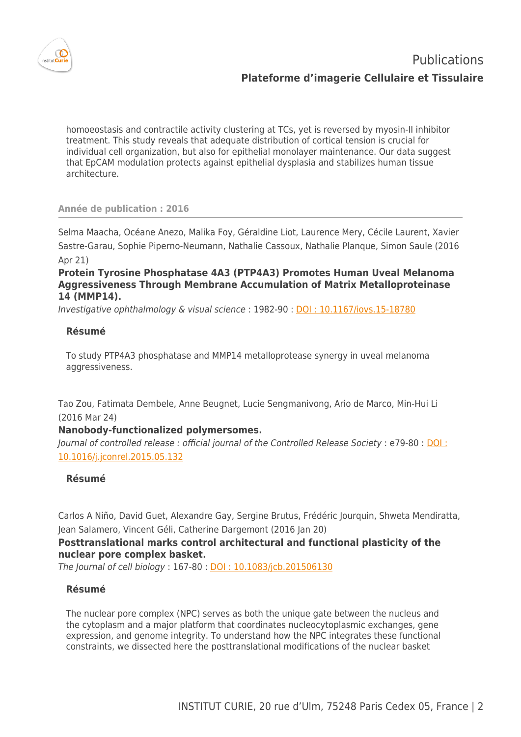

**Publications Plateforme d'imagerie Cellulaire et Tissulaire**

homoeostasis and contractile activity clustering at TCs, yet is reversed by myosin-II inhibitor treatment. This study reveals that adequate distribution of cortical tension is crucial for individual cell organization, but also for epithelial monolayer maintenance. Our data suggest that EpCAM modulation protects against epithelial dysplasia and stabilizes human tissue architecture.

#### **Année de publication : 2016**

Selma Maacha, Océane Anezo, Malika Foy, Géraldine Liot, Laurence Mery, Cécile Laurent, Xavier Sastre-Garau, Sophie Piperno-Neumann, Nathalie Cassoux, Nathalie Planque, Simon Saule (2016 Apr 21)

#### **Protein Tyrosine Phosphatase 4A3 (PTP4A3) Promotes Human Uveal Melanoma Aggressiveness Through Membrane Accumulation of Matrix Metalloproteinase 14 (MMP14).**

Investigative ophthalmology & visual science : 1982-90 : [DOI : 10.1167/iovs.15-18780](http://dx.doi.org/10.1167/iovs.15-18780)

## **Résumé**

To study PTP4A3 phosphatase and MMP14 metalloprotease synergy in uveal melanoma aggressiveness.

Tao Zou, Fatimata Dembele, Anne Beugnet, Lucie Sengmanivong, Ario de Marco, Min-Hui Li (2016 Mar 24)

#### **Nanobody-functionalized polymersomes.**

Journal of controlled release : official journal of the Controlled Release Society : e79-80 : [DOI :](http://dx.doi.org/10.1016/j.jconrel.2015.05.132) [10.1016/j.jconrel.2015.05.132](http://dx.doi.org/10.1016/j.jconrel.2015.05.132)

#### **Résumé**

Carlos A Niño, David Guet, Alexandre Gay, Sergine Brutus, Frédéric Jourquin, Shweta Mendiratta, Jean Salamero, Vincent Géli, Catherine Dargemont (2016 Jan 20)

# **Posttranslational marks control architectural and functional plasticity of the nuclear pore complex basket.**

The Journal of cell biology : 167-80 : **DOI : 10.1083/jcb.201506130** 

## **Résumé**

The nuclear pore complex (NPC) serves as both the unique gate between the nucleus and the cytoplasm and a major platform that coordinates nucleocytoplasmic exchanges, gene expression, and genome integrity. To understand how the NPC integrates these functional constraints, we dissected here the posttranslational modifications of the nuclear basket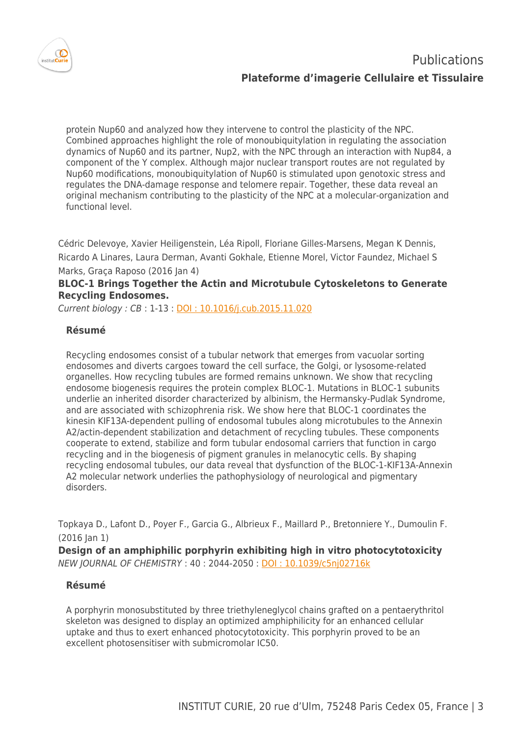

**Publications Plateforme d'imagerie Cellulaire et Tissulaire**

protein Nup60 and analyzed how they intervene to control the plasticity of the NPC. Combined approaches highlight the role of monoubiquitylation in regulating the association dynamics of Nup60 and its partner, Nup2, with the NPC through an interaction with Nup84, a component of the Y complex. Although major nuclear transport routes are not regulated by Nup60 modifications, monoubiquitylation of Nup60 is stimulated upon genotoxic stress and regulates the DNA-damage response and telomere repair. Together, these data reveal an original mechanism contributing to the plasticity of the NPC at a molecular-organization and functional level.

Cédric Delevoye, Xavier Heiligenstein, Léa Ripoll, Floriane Gilles-Marsens, Megan K Dennis, Ricardo A Linares, Laura Derman, Avanti Gokhale, Etienne Morel, Victor Faundez, Michael S Marks, Graça Raposo (2016 Jan 4)

# **BLOC-1 Brings Together the Actin and Microtubule Cytoskeletons to Generate Recycling Endosomes.**

Current biology : CB : 1-13 : [DOI : 10.1016/j.cub.2015.11.020](http://dx.doi.org/10.1016/j.cub.2015.11.020)

## **Résumé**

Recycling endosomes consist of a tubular network that emerges from vacuolar sorting endosomes and diverts cargoes toward the cell surface, the Golgi, or lysosome-related organelles. How recycling tubules are formed remains unknown. We show that recycling endosome biogenesis requires the protein complex BLOC-1. Mutations in BLOC-1 subunits underlie an inherited disorder characterized by albinism, the Hermansky-Pudlak Syndrome, and are associated with schizophrenia risk. We show here that BLOC-1 coordinates the kinesin KIF13A-dependent pulling of endosomal tubules along microtubules to the Annexin A2/actin-dependent stabilization and detachment of recycling tubules. These components cooperate to extend, stabilize and form tubular endosomal carriers that function in cargo recycling and in the biogenesis of pigment granules in melanocytic cells. By shaping recycling endosomal tubules, our data reveal that dysfunction of the BLOC-1-KIF13A-Annexin A2 molecular network underlies the pathophysiology of neurological and pigmentary disorders.

Topkaya D., Lafont D., Poyer F., Garcia G., Albrieux F., Maillard P., Bretonniere Y., Dumoulin F.  $(2016 \text{ lan } 1)$ 

**Design of an amphiphilic porphyrin exhibiting high in vitro photocytotoxicity** NEW JOURNAL OF CHEMISTRY : 40 : 2044-2050 : [DOI : 10.1039/c5nj02716k](http://dx.doi.org/10.1039/c5nj02716k)

## **Résumé**

A porphyrin monosubstituted by three triethyleneglycol chains grafted on a pentaerythritol skeleton was designed to display an optimized amphiphilicity for an enhanced cellular uptake and thus to exert enhanced photocytotoxicity. This porphyrin proved to be an excellent photosensitiser with submicromolar IC50.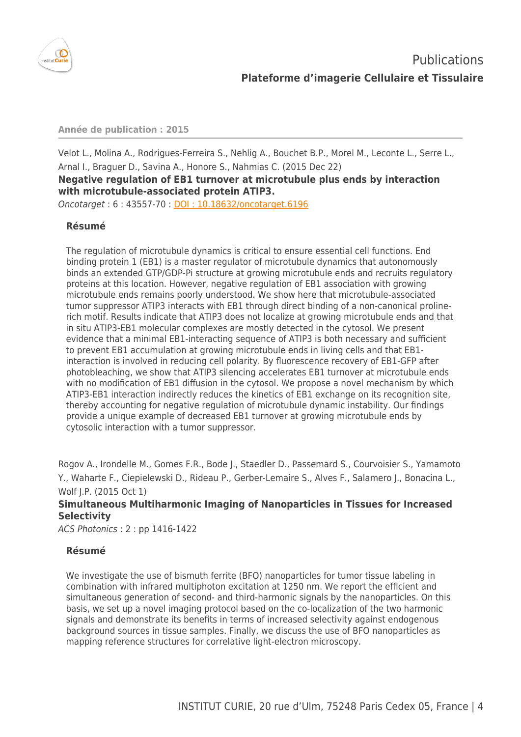

#### **Année de publication : 2015**

Velot L., Molina A., Rodrigues-Ferreira S., Nehlig A., Bouchet B.P., Morel M., Leconte L., Serre L., Arnal I., Braguer D., Savina A., Honore S., Nahmias C. (2015 Dec 22) **Negative regulation of EB1 turnover at microtubule plus ends by interaction**

**with microtubule-associated protein ATIP3.**

Oncotarget : 6 : 43557-70 : [DOI : 10.18632/oncotarget.6196](http://dx.doi.org/10.18632/oncotarget.6196)

## **Résumé**

The regulation of microtubule dynamics is critical to ensure essential cell functions. End binding protein 1 (EB1) is a master regulator of microtubule dynamics that autonomously binds an extended GTP/GDP-Pi structure at growing microtubule ends and recruits regulatory proteins at this location. However, negative regulation of EB1 association with growing microtubule ends remains poorly understood. We show here that microtubule-associated tumor suppressor ATIP3 interacts with EB1 through direct binding of a non-canonical prolinerich motif. Results indicate that ATIP3 does not localize at growing microtubule ends and that in situ ATIP3-EB1 molecular complexes are mostly detected in the cytosol. We present evidence that a minimal EB1-interacting sequence of ATIP3 is both necessary and sufficient to prevent EB1 accumulation at growing microtubule ends in living cells and that EB1 interaction is involved in reducing cell polarity. By fluorescence recovery of EB1-GFP after photobleaching, we show that ATIP3 silencing accelerates EB1 turnover at microtubule ends with no modification of EB1 diffusion in the cytosol. We propose a novel mechanism by which ATIP3-EB1 interaction indirectly reduces the kinetics of EB1 exchange on its recognition site, thereby accounting for negative regulation of microtubule dynamic instability. Our findings provide a unique example of decreased EB1 turnover at growing microtubule ends by cytosolic interaction with a tumor suppressor.

Rogov A., Irondelle M., Gomes F.R., Bode J., Staedler D., Passemard S., Courvoisier S., Yamamoto Y., Waharte F., Ciepielewski D., Rideau P., Gerber-Lemaire S., Alves F., Salamero J., Bonacina L., Wolf J.P. (2015 Oct 1)

# **Simultaneous Multiharmonic Imaging of Nanoparticles in Tissues for Increased Selectivity**

ACS Photonics : 2 : pp 1416-1422

## **Résumé**

We investigate the use of bismuth ferrite (BFO) nanoparticles for tumor tissue labeling in combination with infrared multiphoton excitation at 1250 nm. We report the efficient and simultaneous generation of second- and third-harmonic signals by the nanoparticles. On this basis, we set up a novel imaging protocol based on the co-localization of the two harmonic signals and demonstrate its benefits in terms of increased selectivity against endogenous background sources in tissue samples. Finally, we discuss the use of BFO nanoparticles as mapping reference structures for correlative light-electron microscopy.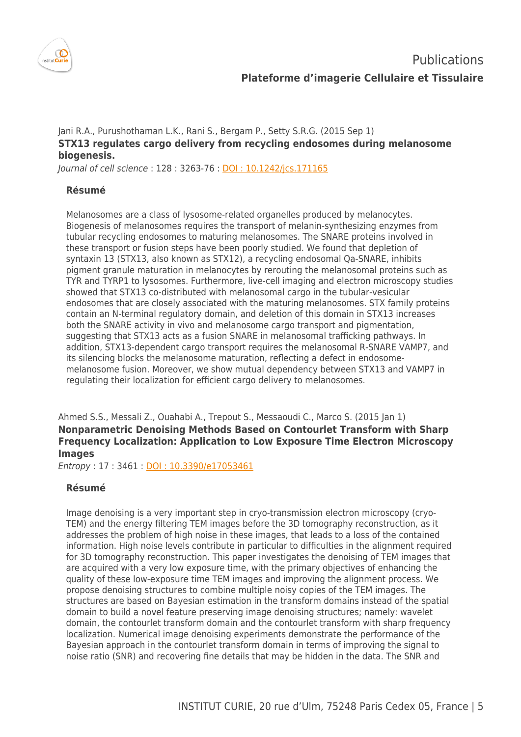

# Jani R.A., Purushothaman L.K., Rani S., Bergam P., Setty S.R.G. (2015 Sep 1) **STX13 regulates cargo delivery from recycling endosomes during melanosome biogenesis.**

Journal of cell science : 128 : 3263-76 : [DOI : 10.1242/jcs.171165](http://dx.doi.org/10.1242/jcs.171165)

## **Résumé**

Melanosomes are a class of lysosome-related organelles produced by melanocytes. Biogenesis of melanosomes requires the transport of melanin-synthesizing enzymes from tubular recycling endosomes to maturing melanosomes. The SNARE proteins involved in these transport or fusion steps have been poorly studied. We found that depletion of syntaxin 13 (STX13, also known as STX12), a recycling endosomal Qa-SNARE, inhibits pigment granule maturation in melanocytes by rerouting the melanosomal proteins such as TYR and TYRP1 to lysosomes. Furthermore, live-cell imaging and electron microscopy studies showed that STX13 co-distributed with melanosomal cargo in the tubular-vesicular endosomes that are closely associated with the maturing melanosomes. STX family proteins contain an N-terminal regulatory domain, and deletion of this domain in STX13 increases both the SNARE activity in vivo and melanosome cargo transport and pigmentation, suggesting that STX13 acts as a fusion SNARE in melanosomal trafficking pathways. In addition, STX13-dependent cargo transport requires the melanosomal R-SNARE VAMP7, and its silencing blocks the melanosome maturation, reflecting a defect in endosomemelanosome fusion. Moreover, we show mutual dependency between STX13 and VAMP7 in regulating their localization for efficient cargo delivery to melanosomes.

## Ahmed S.S., Messali Z., Ouahabi A., Trepout S., Messaoudi C., Marco S. (2015 Jan 1) **Nonparametric Denoising Methods Based on Contourlet Transform with Sharp Frequency Localization: Application to Low Exposure Time Electron Microscopy Images**

Entropy : 17 : 3461 : [DOI : 10.3390/e17053461](http://dx.doi.org/10.3390/e17053461)

## **Résumé**

Image denoising is a very important step in cryo-transmission electron microscopy (cryo-TEM) and the energy filtering TEM images before the 3D tomography reconstruction, as it addresses the problem of high noise in these images, that leads to a loss of the contained information. High noise levels contribute in particular to difficulties in the alignment required for 3D tomography reconstruction. This paper investigates the denoising of TEM images that are acquired with a very low exposure time, with the primary objectives of enhancing the quality of these low-exposure time TEM images and improving the alignment process. We propose denoising structures to combine multiple noisy copies of the TEM images. The structures are based on Bayesian estimation in the transform domains instead of the spatial domain to build a novel feature preserving image denoising structures; namely: wavelet domain, the contourlet transform domain and the contourlet transform with sharp frequency localization. Numerical image denoising experiments demonstrate the performance of the Bayesian approach in the contourlet transform domain in terms of improving the signal to noise ratio (SNR) and recovering fine details that may be hidden in the data. The SNR and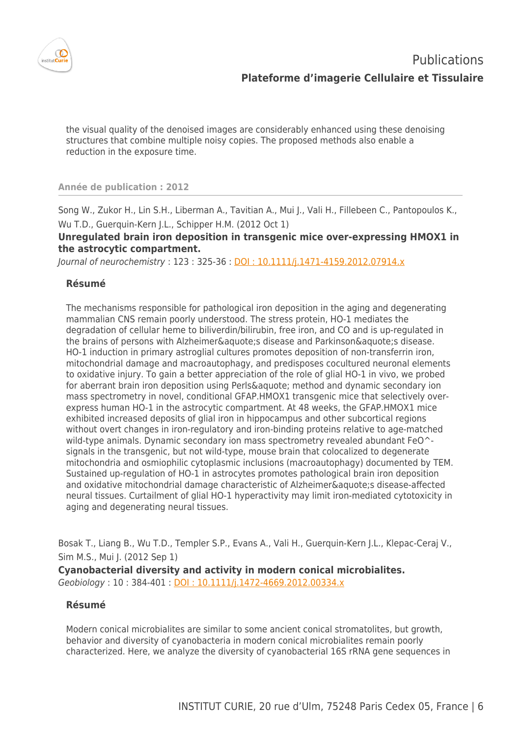

the visual quality of the denoised images are considerably enhanced using these denoising structures that combine multiple noisy copies. The proposed methods also enable a reduction in the exposure time.

#### **Année de publication : 2012**

Song W., Zukor H., Lin S.H., Liberman A., Tavitian A., Mui J., Vali H., Fillebeen C., Pantopoulos K., Wu T.D., Guerquin-Kern J.L., Schipper H.M. (2012 Oct 1)

**Unregulated brain iron deposition in transgenic mice over-expressing HMOX1 in the astrocytic compartment.**

Journal of neurochemistry : 123 : 325-36 : **[DOI : 10.1111/j.1471-4159.2012.07914.x](http://dx.doi.org/10.1111/j.1471-4159.2012.07914.x)** 

## **Résumé**

The mechanisms responsible for pathological iron deposition in the aging and degenerating mammalian CNS remain poorly understood. The stress protein, HO-1 mediates the degradation of cellular heme to biliverdin/bilirubin, free iron, and CO and is up-regulated in the brains of persons with Alzheimer&aquote;s disease and Parkinson&aquote;s disease. HO-1 induction in primary astroglial cultures promotes deposition of non-transferrin iron, mitochondrial damage and macroautophagy, and predisposes cocultured neuronal elements to oxidative injury. To gain a better appreciation of the role of glial HO-1 in vivo, we probed for aberrant brain iron deposition using Perls&aquote; method and dynamic secondary ion mass spectrometry in novel, conditional GFAP.HMOX1 transgenic mice that selectively overexpress human HO-1 in the astrocytic compartment. At 48 weeks, the GFAP.HMOX1 mice exhibited increased deposits of glial iron in hippocampus and other subcortical regions without overt changes in iron-regulatory and iron-binding proteins relative to age-matched wild-type animals. Dynamic secondary ion mass spectrometry revealed abundant FeO^signals in the transgenic, but not wild-type, mouse brain that colocalized to degenerate mitochondria and osmiophilic cytoplasmic inclusions (macroautophagy) documented by TEM. Sustained up-regulation of HO-1 in astrocytes promotes pathological brain iron deposition and oxidative mitochondrial damage characteristic of Alzheimer&aquote;s disease-affected neural tissues. Curtailment of glial HO-1 hyperactivity may limit iron-mediated cytotoxicity in aging and degenerating neural tissues.

Bosak T., Liang B., Wu T.D., Templer S.P., Evans A., Vali H., Guerquin-Kern J.L., Klepac-Ceraj V., Sim M.S., Mui J. (2012 Sep 1)

**Cyanobacterial diversity and activity in modern conical microbialites.** Geobiology : 10 : 384-401 : [DOI : 10.1111/j.1472-4669.2012.00334.x](http://dx.doi.org/10.1111/j.1472-4669.2012.00334.x)

## **Résumé**

Modern conical microbialites are similar to some ancient conical stromatolites, but growth, behavior and diversity of cyanobacteria in modern conical microbialites remain poorly characterized. Here, we analyze the diversity of cyanobacterial 16S rRNA gene sequences in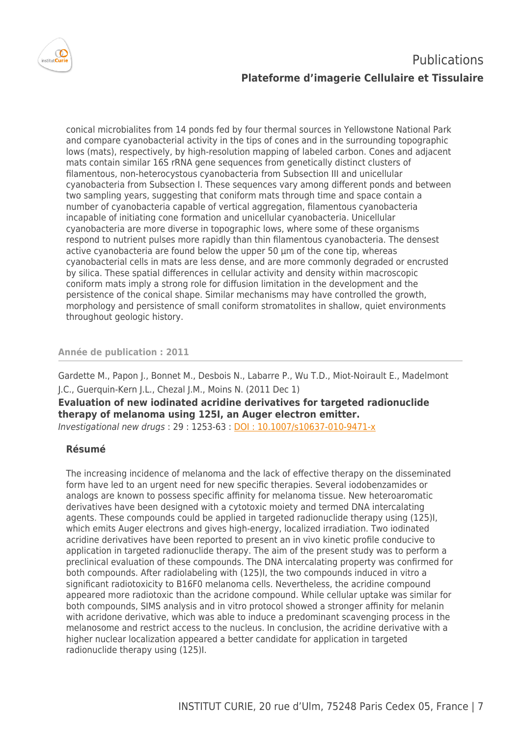

# **Publications Plateforme d'imagerie Cellulaire et Tissulaire**

conical microbialites from 14 ponds fed by four thermal sources in Yellowstone National Park and compare cyanobacterial activity in the tips of cones and in the surrounding topographic lows (mats), respectively, by high-resolution mapping of labeled carbon. Cones and adjacent mats contain similar 16S rRNA gene sequences from genetically distinct clusters of filamentous, non-heterocystous cyanobacteria from Subsection III and unicellular cyanobacteria from Subsection I. These sequences vary among different ponds and between two sampling years, suggesting that coniform mats through time and space contain a number of cyanobacteria capable of vertical aggregation, filamentous cyanobacteria incapable of initiating cone formation and unicellular cyanobacteria. Unicellular cyanobacteria are more diverse in topographic lows, where some of these organisms respond to nutrient pulses more rapidly than thin filamentous cyanobacteria. The densest active cyanobacteria are found below the upper 50 μm of the cone tip, whereas cyanobacterial cells in mats are less dense, and are more commonly degraded or encrusted by silica. These spatial differences in cellular activity and density within macroscopic coniform mats imply a strong role for diffusion limitation in the development and the persistence of the conical shape. Similar mechanisms may have controlled the growth, morphology and persistence of small coniform stromatolites in shallow, quiet environments throughout geologic history.

**Année de publication : 2011**

Gardette M., Papon J., Bonnet M., Desbois N., Labarre P., Wu T.D., Miot-Noirault E., Madelmont J.C., Guerquin-Kern J.L., Chezal J.M., Moins N. (2011 Dec 1) **Evaluation of new iodinated acridine derivatives for targeted radionuclide therapy of melanoma using 125I, an Auger electron emitter.** Investigational new drugs : 29 : 1253-63 : [DOI : 10.1007/s10637-010-9471-x](http://dx.doi.org/10.1007/s10637-010-9471-x)

## **Résumé**

The increasing incidence of melanoma and the lack of effective therapy on the disseminated form have led to an urgent need for new specific therapies. Several iodobenzamides or analogs are known to possess specific affinity for melanoma tissue. New heteroaromatic derivatives have been designed with a cytotoxic moiety and termed DNA intercalating agents. These compounds could be applied in targeted radionuclide therapy using (125)I, which emits Auger electrons and gives high-energy, localized irradiation. Two iodinated acridine derivatives have been reported to present an in vivo kinetic profile conducive to application in targeted radionuclide therapy. The aim of the present study was to perform a preclinical evaluation of these compounds. The DNA intercalating property was confirmed for both compounds. After radiolabeling with (125)I, the two compounds induced in vitro a significant radiotoxicity to B16F0 melanoma cells. Nevertheless, the acridine compound appeared more radiotoxic than the acridone compound. While cellular uptake was similar for both compounds, SIMS analysis and in vitro protocol showed a stronger affinity for melanin with acridone derivative, which was able to induce a predominant scavenging process in the melanosome and restrict access to the nucleus. In conclusion, the acridine derivative with a higher nuclear localization appeared a better candidate for application in targeted radionuclide therapy using (125)I.